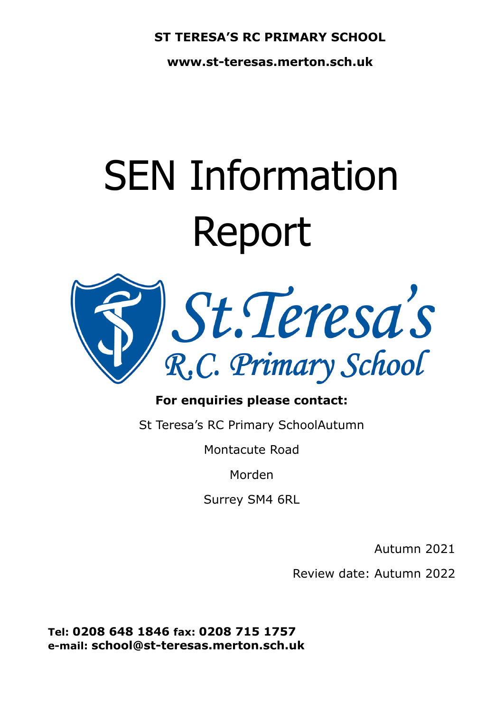### **ST TERESA'S RC PRIMARY SCHOOL**

**www.st-teresas.merton.sch.uk**

# SEN Information Report



## **For enquiries please contact:**

St Teresa's RC Primary SchoolAutumn

Montacute Road

Morden

Surrey SM4 6RL

Autumn 2021

Review date: Autumn 2022

**Tel: 0208 648 1846 fax: 0208 715 1757 e-mail: school@st-teresas.merton.sch.uk**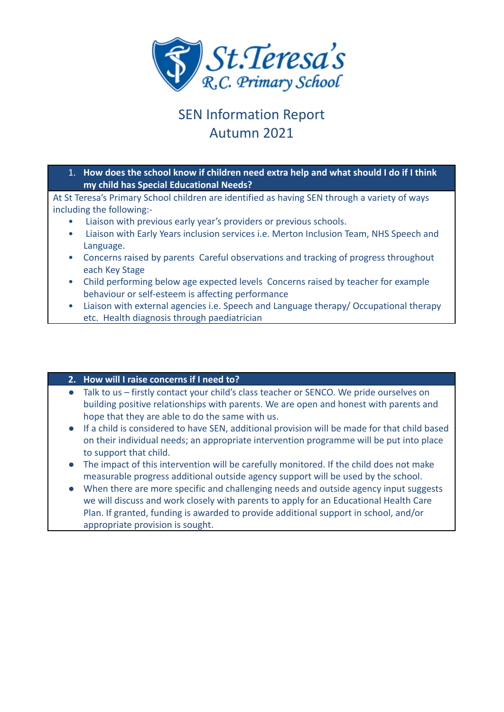

# SEN Information Report Autumn 2021

1. **How does the school know if children need extra help and what should I do if I think my child has Special Educational Needs?**

At St Teresa's Primary School children are identified as having SEN through a variety of ways including the following:-

- Liaison with previous early year's providers or previous schools.
- Liaison with Early Years inclusion services i.e. Merton Inclusion Team, NHS Speech and Language.
- Concerns raised by parents Careful observations and tracking of progress throughout each Key Stage
- Child performing below age expected levels Concerns raised by teacher for example behaviour or self-esteem is affecting performance
- Liaison with external agencies i.e. Speech and Language therapy/ Occupational therapy etc. Health diagnosis through paediatrician

#### **2. How will I raise concerns if I need to?**

- Talk to us firstly contact your child's class teacher or SENCO. We pride ourselves on building positive relationships with parents. We are open and honest with parents and hope that they are able to do the same with us.
- If a child is considered to have SEN, additional provision will be made for that child based on their individual needs; an appropriate intervention programme will be put into place to support that child.
- The impact of this intervention will be carefully monitored. If the child does not make measurable progress additional outside agency support will be used by the school.
- When there are more specific and challenging needs and outside agency input suggests we will discuss and work closely with parents to apply for an Educational Health Care Plan. If granted, funding is awarded to provide additional support in school, and/or appropriate provision is sought.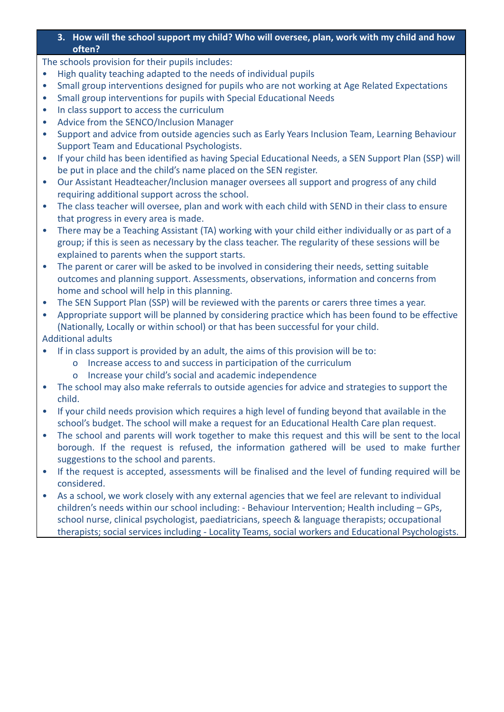#### **3. How will the school support my child? Who will oversee, plan, work with my child and how often?**

The schools provision for their pupils includes:

- High quality teaching adapted to the needs of individual pupils
- Small group interventions designed for pupils who are not working at Age Related Expectations
- Small group interventions for pupils with Special Educational Needs
- In class support to access the curriculum
- Advice from the SENCO/Inclusion Manager
- Support and advice from outside agencies such as Early Years Inclusion Team, Learning Behaviour Support Team and Educational Psychologists.
- If your child has been identified as having Special Educational Needs, a SEN Support Plan (SSP) will be put in place and the child's name placed on the SEN register.
- Our Assistant Headteacher/Inclusion manager oversees all support and progress of any child requiring additional support across the school.
- The class teacher will oversee, plan and work with each child with SEND in their class to ensure that progress in every area is made.
- There may be a Teaching Assistant (TA) working with your child either individually or as part of a group; if this is seen as necessary by the class teacher. The regularity of these sessions will be explained to parents when the support starts.
- The parent or carer will be asked to be involved in considering their needs, setting suitable outcomes and planning support. Assessments, observations, information and concerns from home and school will help in this planning.
- The SEN Support Plan (SSP) will be reviewed with the parents or carers three times a year.
- Appropriate support will be planned by considering practice which has been found to be effective (Nationally, Locally or within school) or that has been successful for your child.

#### Additional adults

- If in class support is provided by an adult, the aims of this provision will be to:
	- o Increase access to and success in participation of the curriculum
	- o Increase your child's social and academic independence
- The school may also make referrals to outside agencies for advice and strategies to support the child.
- If your child needs provision which requires a high level of funding beyond that available in the school's budget. The school will make a request for an Educational Health Care plan request.
- The school and parents will work together to make this request and this will be sent to the local borough. If the request is refused, the information gathered will be used to make further suggestions to the school and parents.
- If the request is accepted, assessments will be finalised and the level of funding required will be considered.
- As a school, we work closely with any external agencies that we feel are relevant to individual children's needs within our school including: - Behaviour Intervention; Health including – GPs, school nurse, clinical psychologist, paediatricians, speech & language therapists; occupational therapists; social services including - Locality Teams, social workers and Educational Psychologists.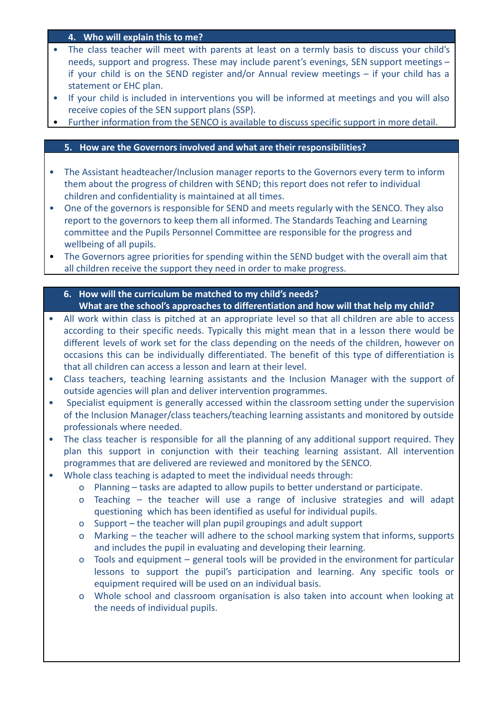#### **4. Who will explain this to me?**

- The class teacher will meet with parents at least on a termly basis to discuss your child's needs, support and progress. These may include parent's evenings, SEN support meetings – if your child is on the SEND register and/or Annual review meetings – if your child has a statement or EHC plan.
- If your child is included in interventions you will be informed at meetings and you will also receive copies of the SEN support plans (SSP).
- Further information from the SENCO is available to discuss specific support in more detail.

#### **5. How are the Governors involved and what are their responsibilities?**

- The Assistant headteacher/Inclusion manager reports to the Governors every term to inform them about the progress of children with SEND; this report does not refer to individual children and confidentiality is maintained at all times.
- One of the governors is responsible for SEND and meets regularly with the SENCO. They also report to the governors to keep them all informed. The Standards Teaching and Learning committee and the Pupils Personnel Committee are responsible for the progress and wellbeing of all pupils.
- The Governors agree priorities for spending within the SEND budget with the overall aim that all children receive the support they need in order to make progress.

#### **6. How will the curriculum be matched to my child's needs? What are the school's approaches to differentiation and how will that help my child?**

- All work within class is pitched at an appropriate level so that all children are able to access according to their specific needs. Typically this might mean that in a lesson there would be different levels of work set for the class depending on the needs of the children, however on occasions this can be individually differentiated. The benefit of this type of differentiation is that all children can access a lesson and learn at their level.
- Class teachers, teaching learning assistants and the Inclusion Manager with the support of outside agencies will plan and deliver intervention programmes.
- Specialist equipment is generally accessed within the classroom setting under the supervision of the Inclusion Manager/class teachers/teaching learning assistants and monitored by outside professionals where needed.
- The class teacher is responsible for all the planning of any additional support required. They plan this support in conjunction with their teaching learning assistant. All intervention programmes that are delivered are reviewed and monitored by the SENCO.
- Whole class teaching is adapted to meet the individual needs through:
	- o Planning tasks are adapted to allow pupils to better understand or participate.
	- o Teaching the teacher will use a range of inclusive strategies and will adapt questioning which has been identified as useful for individual pupils.
	- o Support the teacher will plan pupil groupings and adult support
	- o Marking the teacher will adhere to the school marking system that informs, supports and includes the pupil in evaluating and developing their learning.
	- o Tools and equipment general tools will be provided in the environment for particular lessons to support the pupil's participation and learning. Any specific tools or equipment required will be used on an individual basis.
	- o Whole school and classroom organisation is also taken into account when looking at the needs of individual pupils.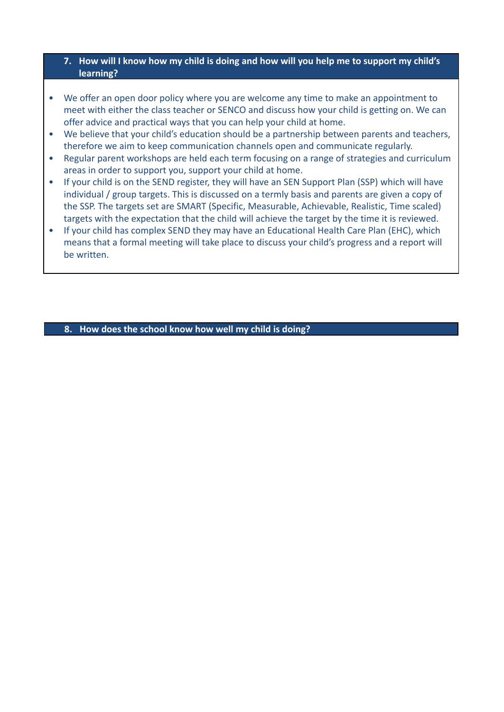#### **7. How will I know how my child is doing and how will you help me to support my child's learning?**

- We offer an open door policy where you are welcome any time to make an appointment to meet with either the class teacher or SENCO and discuss how your child is getting on. We can offer advice and practical ways that you can help your child at home.
- We believe that your child's education should be a partnership between parents and teachers, therefore we aim to keep communication channels open and communicate regularly.
- Regular parent workshops are held each term focusing on a range of strategies and curriculum areas in order to support you, support your child at home.
- If your child is on the SEND register, they will have an SEN Support Plan (SSP) which will have individual / group targets. This is discussed on a termly basis and parents are given a copy of the SSP. The targets set are SMART (Specific, Measurable, Achievable, Realistic, Time scaled) targets with the expectation that the child will achieve the target by the time it is reviewed.
- If your child has complex SEND they may have an Educational Health Care Plan (EHC), which means that a formal meeting will take place to discuss your child's progress and a report will be written.

**8. How does the school know how well my child is doing?**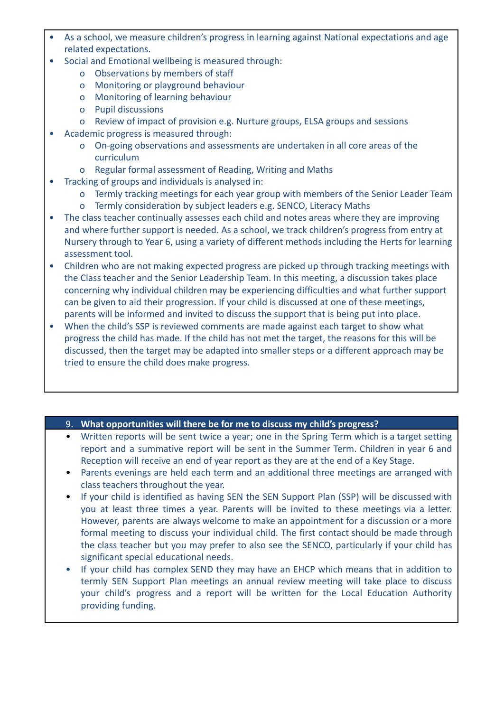- As a school, we measure children's progress in learning against National expectations and age related expectations.
- Social and Emotional wellbeing is measured through:
	- o Observations by members of staff
	- o Monitoring or playground behaviour
	- o Monitoring of learning behaviour
	- o Pupil discussions
	- o Review of impact of provision e.g. Nurture groups, ELSA groups and sessions
- Academic progress is measured through:
	- o On-going observations and assessments are undertaken in all core areas of the curriculum
	- o Regular formal assessment of Reading, Writing and Maths
- Tracking of groups and individuals is analysed in:
	- o Termly tracking meetings for each year group with members of the Senior Leader Team
	- o Termly consideration by subject leaders e.g. SENCO, Literacy Maths
- The class teacher continually assesses each child and notes areas where they are improving and where further support is needed. As a school, we track children's progress from entry at Nursery through to Year 6, using a variety of different methods including the Herts for learning assessment tool.
- Children who are not making expected progress are picked up through tracking meetings with the Class teacher and the Senior Leadership Team. In this meeting, a discussion takes place concerning why individual children may be experiencing difficulties and what further support can be given to aid their progression. If your child is discussed at one of these meetings, parents will be informed and invited to discuss the support that is being put into place.
- When the child's SSP is reviewed comments are made against each target to show what progress the child has made. If the child has not met the target, the reasons for this will be discussed, then the target may be adapted into smaller steps or a different approach may be tried to ensure the child does make progress.

#### 9. **What opportunities will there be for me to discuss my child's progress?**

- Written reports will be sent twice a year; one in the Spring Term which is a target setting report and a summative report will be sent in the Summer Term. Children in year 6 and Reception will receive an end of year report as they are at the end of a Key Stage.
- Parents evenings are held each term and an additional three meetings are arranged with class teachers throughout the year.
- If your child is identified as having SEN the SEN Support Plan (SSP) will be discussed with you at least three times a year. Parents will be invited to these meetings via a letter. However, parents are always welcome to make an appointment for a discussion or a more formal meeting to discuss your individual child. The first contact should be made through the class teacher but you may prefer to also see the SENCO, particularly if your child has significant special educational needs.
- If your child has complex SEND they may have an EHCP which means that in addition to termly SEN Support Plan meetings an annual review meeting will take place to discuss your child's progress and a report will be written for the Local Education Authority providing funding.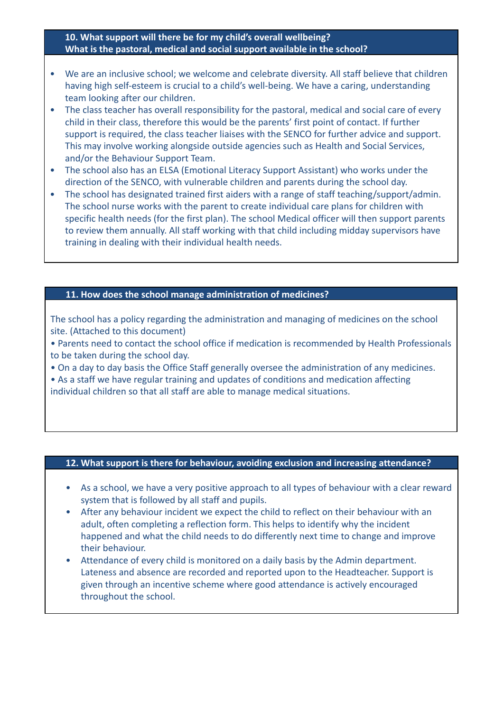#### **10. What support will there be for my child's overall wellbeing? What is the pastoral, medical and social support available in the school?**

- We are an inclusive school; we welcome and celebrate diversity. All staff believe that children having high self-esteem is crucial to a child's well-being. We have a caring, understanding team looking after our children.
- The class teacher has overall responsibility for the pastoral, medical and social care of every child in their class, therefore this would be the parents' first point of contact. If further support is required, the class teacher liaises with the SENCO for further advice and support. This may involve working alongside outside agencies such as Health and Social Services, and/or the Behaviour Support Team.
- The school also has an ELSA (Emotional Literacy Support Assistant) who works under the direction of the SENCO, with vulnerable children and parents during the school day.
- The school has designated trained first aiders with a range of staff teaching/support/admin. The school nurse works with the parent to create individual care plans for children with specific health needs (for the first plan). The school Medical officer will then support parents to review them annually. All staff working with that child including midday supervisors have training in dealing with their individual health needs.

#### **11. How does the school manage administration of medicines?**

The school has a policy regarding the administration and managing of medicines on the school site. (Attached to this document)

• Parents need to contact the school office if medication is recommended by Health Professionals to be taken during the school day.

• On a day to day basis the Office Staff generally oversee the administration of any medicines.

• As a staff we have regular training and updates of conditions and medication affecting individual children so that all staff are able to manage medical situations.

#### **12. What support is there for behaviour, avoiding exclusion and increasing attendance?**

- As a school, we have a very positive approach to all types of behaviour with a clear reward system that is followed by all staff and pupils.
- After any behaviour incident we expect the child to reflect on their behaviour with an adult, often completing a reflection form. This helps to identify why the incident happened and what the child needs to do differently next time to change and improve their behaviour.
- Attendance of every child is monitored on a daily basis by the Admin department. Lateness and absence are recorded and reported upon to the Headteacher. Support is given through an incentive scheme where good attendance is actively encouraged throughout the school.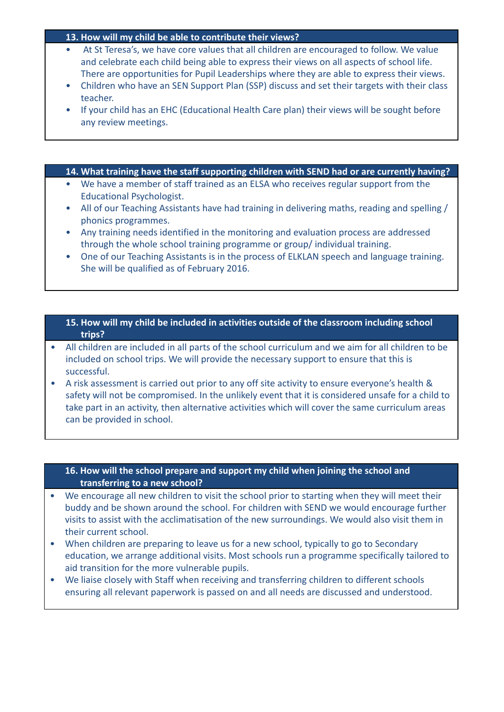#### **13. How will my child be able to contribute their views?**

- At St Teresa's, we have core values that all children are encouraged to follow. We value and celebrate each child being able to express their views on all aspects of school life. There are opportunities for Pupil Leaderships where they are able to express their views.
- Children who have an SEN Support Plan (SSP) discuss and set their targets with their class teacher.
- If your child has an EHC (Educational Health Care plan) their views will be sought before any review meetings.

#### **14. What training have the staff supporting children with SEND had or are currently having?**

- We have a member of staff trained as an ELSA who receives regular support from the Educational Psychologist.
- All of our Teaching Assistants have had training in delivering maths, reading and spelling / phonics programmes.
- Any training needs identified in the monitoring and evaluation process are addressed through the whole school training programme or group/ individual training.
- One of our Teaching Assistants is in the process of ELKLAN speech and language training. She will be qualified as of February 2016.

#### **15. How will my child be included in activities outside of the classroom including school trips?**

- All children are included in all parts of the school curriculum and we aim for all children to be included on school trips. We will provide the necessary support to ensure that this is successful.
- A risk assessment is carried out prior to any off site activity to ensure everyone's health & safety will not be compromised. In the unlikely event that it is considered unsafe for a child to take part in an activity, then alternative activities which will cover the same curriculum areas can be provided in school.

#### **16. How will the school prepare and support my child when joining the school and transferring to a new school?**

- We encourage all new children to visit the school prior to starting when they will meet their buddy and be shown around the school. For children with SEND we would encourage further visits to assist with the acclimatisation of the new surroundings. We would also visit them in their current school.
- When children are preparing to leave us for a new school, typically to go to Secondary education, we arrange additional visits. Most schools run a programme specifically tailored to aid transition for the more vulnerable pupils.
- We liaise closely with Staff when receiving and transferring children to different schools ensuring all relevant paperwork is passed on and all needs are discussed and understood.